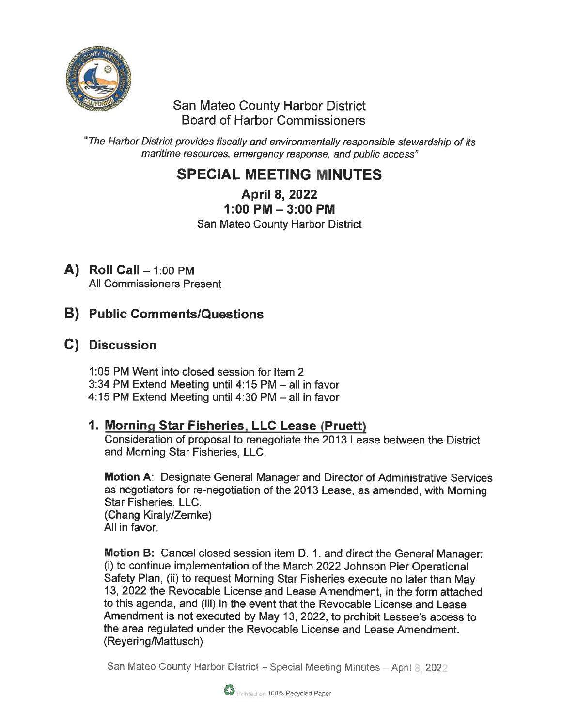

#### **San Mateo County Harbor District** Board of Harbor Commissioners

'The Harbor District provides fiscally and environmentally responsible stewardship of its maritime resources, emergency response, and public access"

# SPECIAL MEETING MINUTES

April 8, 2022 1:00 PM-3:00 PM

San Mateo County Harbor District

 $\mathbf{A}$ ) Roll Call  $-1:00$  PM All Commissioners Present

# B) Public Comments/Questions

## C) Discussion

1:05 PM Went into closed session for Item 2 3:34 PM Extend Meeting until 4:15 PM - all in favor 4:15 PM Extend Meeting until 4:30 PM - all in favor

### 1. Morning Star Fisheries, LLC Lease (Pruett)

Consideration of proposal to renegotiate the 2013 Lease between the District and Morning Star Fisheries, LLC.

Motion A: Designate General Manager and Director of Administrative Services as negotiators for re-negotiation of the 2013 Lease, as amended, with Morning Star Fisheries, LLC. (Chang Kiraly/Zemke) All in favor.

Motion B: Cancel closed session item D. 1. and direct the General Manager: (i) to continue implementation of the March 2022 Johnson Pier Operational Safety Plan, (ii) to request Morning Star Fisheries execute no later than May 13, 2022 the Revocable License and Lease Amendment, in the form attached to this agenda, and (iii) in the event that the Revocable License and Lease Amendment is not executed by May 13, 2022, to prohibit Lessee's access to the area regulated under the Revocable License and Lease Amendment. (Reyering/Mattusch)

San Mateo County Harbor District - Special Meeting Minutes - April 8, 2022